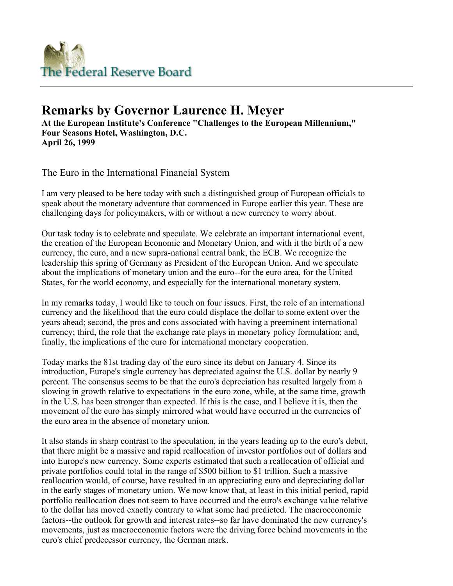

## **Remarks by Governor Laurence H. Meyer**

**At the European Institute's Conference "Challenges to the European Millennium," Four Seasons Hotel, Washington, D.C. April 26, 1999** 

The Euro in the International Financial System

I am very pleased to be here today with such a distinguished group of European officials to speak about the monetary adventure that commenced in Europe earlier this year. These are challenging days for policymakers, with or without a new currency to worry about.

Our task today is to celebrate and speculate. We celebrate an important international event, the creation of the European Economic and Monetary Union, and with it the birth of a new currency, the euro, and a new supra-national central bank, the ECB. We recognize the leadership this spring of Germany as President of the European Union. And we speculate about the implications of monetary union and the euro--for the euro area, for the United States, for the world economy, and especially for the international monetary system.

In my remarks today, I would like to touch on four issues. First, the role of an international currency and the likelihood that the euro could displace the dollar to some extent over the years ahead; second, the pros and cons associated with having a preeminent international currency; third, the role that the exchange rate plays in monetary policy formulation; and, finally, the implications of the euro for international monetary cooperation.

Today marks the 81st trading day of the euro since its debut on January 4. Since its introduction, Europe's single currency has depreciated against the U.S. dollar by nearly 9 percent. The consensus seems to be that the euro's depreciation has resulted largely from a slowing in growth relative to expectations in the euro zone, while, at the same time, growth in the U.S. has been stronger than expected. If this is the case, and I believe it is, then the movement of the euro has simply mirrored what would have occurred in the currencies of the euro area in the absence of monetary union.

It also stands in sharp contrast to the speculation, in the years leading up to the euro's debut, that there might be a massive and rapid reallocation of investor portfolios out of dollars and into Europe's new currency. Some experts estimated that such a reallocation of official and private portfolios could total in the range of \$500 billion to \$1 trillion. Such a massive reallocation would, of course, have resulted in an appreciating euro and depreciating dollar in the early stages of monetary union. We now know that, at least in this initial period, rapid portfolio reallocation does not seem to have occurred and the euro's exchange value relative to the dollar has moved exactly contrary to what some had predicted. The macroeconomic factors--the outlook for growth and interest rates--so far have dominated the new currency's movements, just as macroeconomic factors were the driving force behind movements in the euro's chief predecessor currency, the German mark.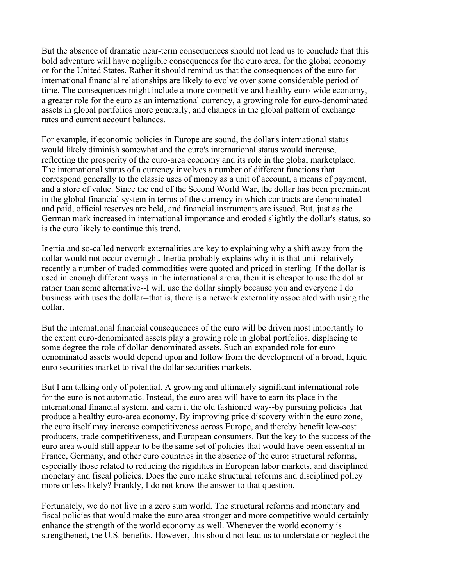But the absence of dramatic near-term consequences should not lead us to conclude that this bold adventure will have negligible consequences for the euro area, for the global economy or for the United States. Rather it should remind us that the consequences of the euro for international financial relationships are likely to evolve over some considerable period of time. The consequences might include a more competitive and healthy euro-wide economy, a greater role for the euro as an international currency, a growing role for euro-denominated assets in global portfolios more generally, and changes in the global pattern of exchange rates and current account balances.

For example, if economic policies in Europe are sound, the dollar's international status would likely diminish somewhat and the euro's international status would increase, reflecting the prosperity of the euro-area economy and its role in the global marketplace. The international status of a currency involves a number of different functions that correspond generally to the classic uses of money as a unit of account, a means of payment, and a store of value. Since the end of the Second World War, the dollar has been preeminent in the global financial system in terms of the currency in which contracts are denominated and paid, official reserves are held, and financial instruments are issued. But, just as the German mark increased in international importance and eroded slightly the dollar's status, so is the euro likely to continue this trend.

Inertia and so-called network externalities are key to explaining why a shift away from the dollar would not occur overnight. Inertia probably explains why it is that until relatively recently a number of traded commodities were quoted and priced in sterling. If the dollar is used in enough different ways in the international arena, then it is cheaper to use the dollar rather than some alternative--I will use the dollar simply because you and everyone I do business with uses the dollar--that is, there is a network externality associated with using the dollar.

But the international financial consequences of the euro will be driven most importantly to the extent euro-denominated assets play a growing role in global portfolios, displacing to some degree the role of dollar-denominated assets. Such an expanded role for eurodenominated assets would depend upon and follow from the development of a broad, liquid euro securities market to rival the dollar securities markets.

But I am talking only of potential. A growing and ultimately significant international role for the euro is not automatic. Instead, the euro area will have to earn its place in the international financial system, and earn it the old fashioned way--by pursuing policies that produce a healthy euro-area economy. By improving price discovery within the euro zone, the euro itself may increase competitiveness across Europe, and thereby benefit low-cost producers, trade competitiveness, and European consumers. But the key to the success of the euro area would still appear to be the same set of policies that would have been essential in France, Germany, and other euro countries in the absence of the euro: structural reforms, especially those related to reducing the rigidities in European labor markets, and disciplined monetary and fiscal policies. Does the euro make structural reforms and disciplined policy more or less likely? Frankly, I do not know the answer to that question.

Fortunately, we do not live in a zero sum world. The structural reforms and monetary and fiscal policies that would make the euro area stronger and more competitive would certainly enhance the strength of the world economy as well. Whenever the world economy is strengthened, the U.S. benefits. However, this should not lead us to understate or neglect the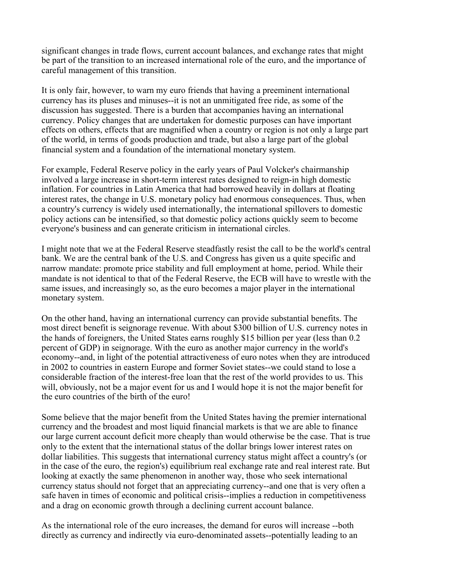significant changes in trade flows, current account balances, and exchange rates that might be part of the transition to an increased international role of the euro, and the importance of careful management of this transition.

It is only fair, however, to warn my euro friends that having a preeminent international currency has its pluses and minuses--it is not an unmitigated free ride, as some of the discussion has suggested. There is a burden that accompanies having an international currency. Policy changes that are undertaken for domestic purposes can have important effects on others, effects that are magnified when a country or region is not only a large part of the world, in terms of goods production and trade, but also a large part of the global financial system and a foundation of the international monetary system.

For example, Federal Reserve policy in the early years of Paul Volcker's chairmanship involved a large increase in short-term interest rates designed to reign-in high domestic inflation. For countries in Latin America that had borrowed heavily in dollars at floating interest rates, the change in U.S. monetary policy had enormous consequences. Thus, when a country's currency is widely used internationally, the international spillovers to domestic policy actions can be intensified, so that domestic policy actions quickly seem to become everyone's business and can generate criticism in international circles.

I might note that we at the Federal Reserve steadfastly resist the call to be the world's central bank. We are the central bank of the U.S. and Congress has given us a quite specific and narrow mandate: promote price stability and full employment at home, period. While their mandate is not identical to that of the Federal Reserve, the ECB will have to wrestle with the same issues, and increasingly so, as the euro becomes a major player in the international monetary system.

On the other hand, having an international currency can provide substantial benefits. The most direct benefit is seignorage revenue. With about \$300 billion of U.S. currency notes in the hands of foreigners, the United States earns roughly \$15 billion per year (less than 0.2 percent of GDP) in seignorage. With the euro as another major currency in the world's economy--and, in light of the potential attractiveness of euro notes when they are introduced in 2002 to countries in eastern Europe and former Soviet states--we could stand to lose a considerable fraction of the interest-free loan that the rest of the world provides to us. This will, obviously, not be a major event for us and I would hope it is not the major benefit for the euro countries of the birth of the euro!

Some believe that the major benefit from the United States having the premier international currency and the broadest and most liquid financial markets is that we are able to finance our large current account deficit more cheaply than would otherwise be the case. That is true only to the extent that the international status of the dollar brings lower interest rates on dollar liabilities. This suggests that international currency status might affect a country's (or in the case of the euro, the region's) equilibrium real exchange rate and real interest rate. But looking at exactly the same phenomenon in another way, those who seek international currency status should not forget that an appreciating currency--and one that is very often a safe haven in times of economic and political crisis--implies a reduction in competitiveness and a drag on economic growth through a declining current account balance.

As the international role of the euro increases, the demand for euros will increase --both directly as currency and indirectly via euro-denominated assets--potentially leading to an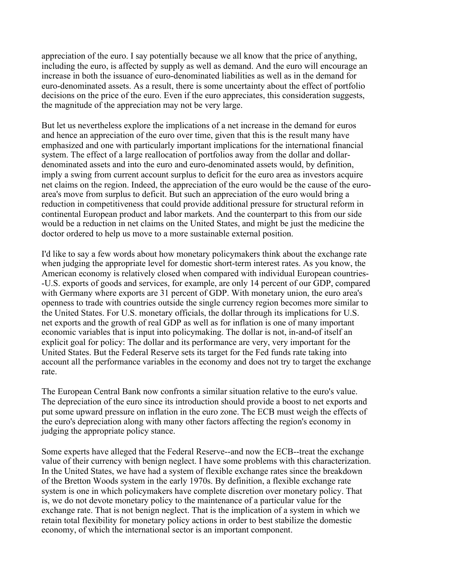appreciation of the euro. I say potentially because we all know that the price of anything, including the euro, is affected by supply as well as demand. And the euro will encourage an increase in both the issuance of euro-denominated liabilities as well as in the demand for euro-denominated assets. As a result, there is some uncertainty about the effect of portfolio decisions on the price of the euro. Even if the euro appreciates, this consideration suggests, the magnitude of the appreciation may not be very large.

But let us nevertheless explore the implications of a net increase in the demand for euros and hence an appreciation of the euro over time, given that this is the result many have emphasized and one with particularly important implications for the international financial system. The effect of a large reallocation of portfolios away from the dollar and dollardenominated assets and into the euro and euro-denominated assets would, by definition, imply a swing from current account surplus to deficit for the euro area as investors acquire net claims on the region. Indeed, the appreciation of the euro would be the cause of the euroarea's move from surplus to deficit. But such an appreciation of the euro would bring a reduction in competitiveness that could provide additional pressure for structural reform in continental European product and labor markets. And the counterpart to this from our side would be a reduction in net claims on the United States, and might be just the medicine the doctor ordered to help us move to a more sustainable external position.

I'd like to say a few words about how monetary policymakers think about the exchange rate when judging the appropriate level for domestic short-term interest rates. As you know, the American economy is relatively closed when compared with individual European countries- -U.S. exports of goods and services, for example, are only 14 percent of our GDP, compared with Germany where exports are 31 percent of GDP. With monetary union, the euro area's openness to trade with countries outside the single currency region becomes more similar to the United States. For U.S. monetary officials, the dollar through its implications for U.S. net exports and the growth of real GDP as well as for inflation is one of many important economic variables that is input into policymaking. The dollar is not, in-and-of itself an explicit goal for policy: The dollar and its performance are very, very important for the United States. But the Federal Reserve sets its target for the Fed funds rate taking into account all the performance variables in the economy and does not try to target the exchange rate.

The European Central Bank now confronts a similar situation relative to the euro's value. The depreciation of the euro since its introduction should provide a boost to net exports and put some upward pressure on inflation in the euro zone. The ECB must weigh the effects of the euro's depreciation along with many other factors affecting the region's economy in judging the appropriate policy stance.

Some experts have alleged that the Federal Reserve--and now the ECB--treat the exchange value of their currency with benign neglect. I have some problems with this characterization. In the United States, we have had a system of flexible exchange rates since the breakdown of the Bretton Woods system in the early 1970s. By definition, a flexible exchange rate system is one in which policymakers have complete discretion over monetary policy. That is, we do not devote monetary policy to the maintenance of a particular value for the exchange rate. That is not benign neglect. That is the implication of a system in which we retain total flexibility for monetary policy actions in order to best stabilize the domestic economy, of which the international sector is an important component.